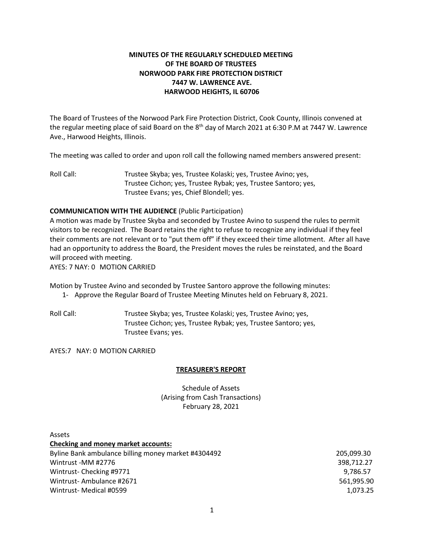# **MINUTES OF THE REGULARLY SCHEDULED MEETING OF THE BOARD OF TRUSTEES NORWOOD PARK FIRE PROTECTION DISTRICT 7447 W. LAWRENCE AVE. HARWOOD HEIGHTS, IL 60706**

The Board of Trustees of the Norwood Park Fire Protection District, Cook County, Illinois convened at the regular meeting place of said Board on the 8<sup>th</sup> day of March 2021 at 6:30 P.M at 7447 W. Lawrence Ave., Harwood Heights, Illinois.

The meeting was called to order and upon roll call the following named members answered present:

Roll Call: Trustee Skyba; yes, Trustee Kolaski; yes, Trustee Avino; yes, Trustee Cichon; yes, Trustee Rybak; yes, Trustee Santoro; yes, Trustee Evans; yes, Chief Blondell; yes.

## **COMMUNICATION WITH THE AUDIENCE** (Public Participation)

A motion was made by Trustee Skyba and seconded by Trustee Avino to suspend the rules to permit visitors to be recognized. The Board retains the right to refuse to recognize any individual if they feel their comments are not relevant or to "put them off" if they exceed their time allotment. After all have had an opportunity to address the Board, the President moves the rules be reinstated, and the Board will proceed with meeting.

AYES: 7 NAY: 0 MOTION CARRIED

Motion by Trustee Avino and seconded by Trustee Santoro approve the following minutes:

- 1- Approve the Regular Board of Trustee Meeting Minutes held on February 8, 2021.
- Roll Call: Trustee Skyba; yes, Trustee Kolaski; yes, Trustee Avino; yes, Trustee Cichon; yes, Trustee Rybak; yes, Trustee Santoro; yes, Trustee Evans; yes.

AYES:7 NAY: 0 MOTION CARRIED

## **TREASURER'S REPORT**

Schedule of Assets (Arising from Cash Transactions) February 28, 2021

| Assets                                              |            |
|-----------------------------------------------------|------------|
| <b>Checking and money market accounts:</b>          |            |
| Byline Bank ambulance billing money market #4304492 | 205.099.30 |
| Wintrust -MM #2776                                  | 398,712.27 |
| Wintrust-Checking #9771                             | 9,786.57   |
| Wintrust-Ambulance #2671                            | 561,995.90 |
| Wintrust-Medical #0599                              | 1,073.25   |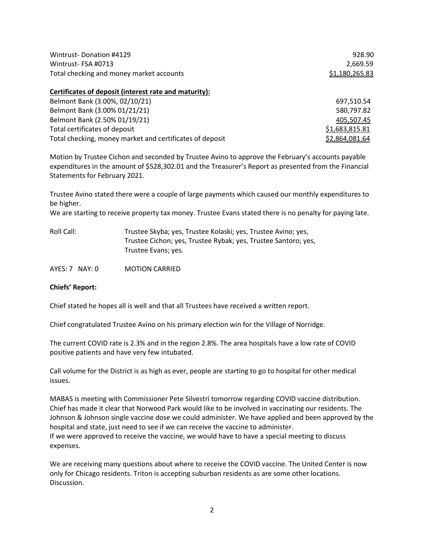| Wintrust-Donation #4129<br>Wintrust-FSA #0713<br>Total checking and money market accounts | 928.90<br>2,669.59<br>\$1,180,265.83 |
|-------------------------------------------------------------------------------------------|--------------------------------------|
| Certificates of deposit (interest rate and maturity):                                     |                                      |
| Belmont Bank (3.00%, 02/10/21)                                                            | 697,510.54                           |
| Belmont Bank (3.00% 01/21/21)                                                             | 580,797.82                           |
| Belmont Bank (2.50% 01/19/21)                                                             | 405,507.45                           |
| Total certificates of deposit                                                             | \$1,683,815.81                       |
| Total checking, money market and certificates of deposit                                  | \$2,864,081.64                       |

Motion by Trustee Cichon and seconded by Trustee Avino to approve the February's accounts payable expenditures in the amount of \$528,302.01 and the Treasurer's Report as presented from the Financial Statements for February 2021.

Trustee Avino stated there were a couple of large payments which caused our monthly expenditures to be higher.

We are starting to receive property tax money. Trustee Evans stated there is no penalty for paying late.

| Roll Call: | Trustee Skyba; yes, Trustee Kolaski; yes, Trustee Avino; yes,  |
|------------|----------------------------------------------------------------|
|            | Trustee Cichon; yes, Trustee Rybak; yes, Trustee Santoro; yes, |
|            | Trustee Evans; yes.                                            |

AYES: 7 NAY: 0 MOTION CARRIED

### **Chiefs' Report:**

Chief stated he hopes all is well and that all Trustees have received a written report.

Chief congratulated Trustee Avino on his primary election win for the Village of Norridge.

The current COVID rate is 2.3% and in the region 2.8%. The area hospitals have a low rate of COVID positive patients and have very few intubated.

Call volume for the District is as high as ever, people are starting to go to hospital for other medical issues.

MABAS is meeting with Commissioner Pete Silvestri tomorrow regarding COVID vaccine distribution. Chief has made it clear that Norwood Park would like to be involved in vaccinating our residents. The Johnson & Johnson single vaccine dose we could administer. We have applied and been approved by the hospital and state, just need to see if we can receive the vaccine to administer. If we were approved to receive the vaccine, we would have to have a special meeting to discuss expenses.

We are receiving many questions about where to receive the COVID vaccine. The United Center is now only for Chicago residents. Triton is accepting suburban residents as are some other locations. Discussion.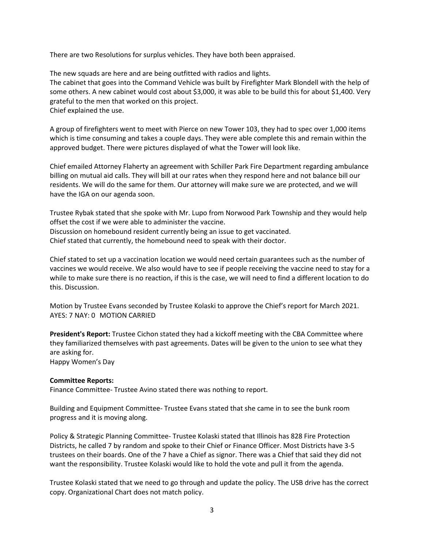There are two Resolutions for surplus vehicles. They have both been appraised.

The new squads are here and are being outfitted with radios and lights.

The cabinet that goes into the Command Vehicle was built by Firefighter Mark Blondell with the help of some others. A new cabinet would cost about \$3,000, it was able to be build this for about \$1,400. Very grateful to the men that worked on this project.

Chief explained the use.

A group of firefighters went to meet with Pierce on new Tower 103, they had to spec over 1,000 items which is time consuming and takes a couple days. They were able complete this and remain within the approved budget. There were pictures displayed of what the Tower will look like.

Chief emailed Attorney Flaherty an agreement with Schiller Park Fire Department regarding ambulance billing on mutual aid calls. They will bill at our rates when they respond here and not balance bill our residents. We will do the same for them. Our attorney will make sure we are protected, and we will have the IGA on our agenda soon.

Trustee Rybak stated that she spoke with Mr. Lupo from Norwood Park Township and they would help offset the cost if we were able to administer the vaccine. Discussion on homebound resident currently being an issue to get vaccinated. Chief stated that currently, the homebound need to speak with their doctor.

Chief stated to set up a vaccination location we would need certain guarantees such as the number of vaccines we would receive. We also would have to see if people receiving the vaccine need to stay for a while to make sure there is no reaction, if this is the case, we will need to find a different location to do this. Discussion.

Motion by Trustee Evans seconded by Trustee Kolaski to approve the Chief's report for March 2021. AYES: 7 NAY: 0 MOTION CARRIED

**President's Report:** Trustee Cichon stated they had a kickoff meeting with the CBA Committee where they familiarized themselves with past agreements. Dates will be given to the union to see what they are asking for. Happy Women's Day

**Committee Reports:**

Finance Committee- Trustee Avino stated there was nothing to report.

Building and Equipment Committee- Trustee Evans stated that she came in to see the bunk room progress and it is moving along.

Policy & Strategic Planning Committee- Trustee Kolaski stated that Illinois has 828 Fire Protection Districts, he called 7 by random and spoke to their Chief or Finance Officer. Most Districts have 3-5 trustees on their boards. One of the 7 have a Chief as signor. There was a Chief that said they did not want the responsibility. Trustee Kolaski would like to hold the vote and pull it from the agenda.

Trustee Kolaski stated that we need to go through and update the policy. The USB drive has the correct copy. Organizational Chart does not match policy.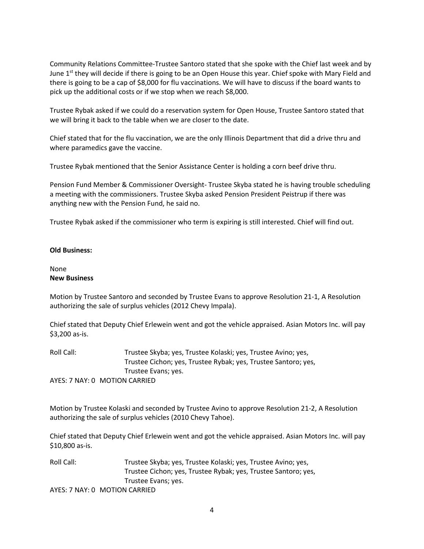Community Relations Committee-Trustee Santoro stated that she spoke with the Chief last week and by June 1<sup>st</sup> they will decide if there is going to be an Open House this year. Chief spoke with Mary Field and there is going to be a cap of \$8,000 for flu vaccinations. We will have to discuss if the board wants to pick up the additional costs or if we stop when we reach \$8,000.

Trustee Rybak asked if we could do a reservation system for Open House, Trustee Santoro stated that we will bring it back to the table when we are closer to the date.

Chief stated that for the flu vaccination, we are the only Illinois Department that did a drive thru and where paramedics gave the vaccine.

Trustee Rybak mentioned that the Senior Assistance Center is holding a corn beef drive thru.

Pension Fund Member & Commissioner Oversight- Trustee Skyba stated he is having trouble scheduling a meeting with the commissioners. Trustee Skyba asked Pension President Peistrup if there was anything new with the Pension Fund, he said no.

Trustee Rybak asked if the commissioner who term is expiring is still interested. Chief will find out.

### **Old Business:**

## None **New Business**

Motion by Trustee Santoro and seconded by Trustee Evans to approve Resolution 21-1, A Resolution authorizing the sale of surplus vehicles (2012 Chevy Impala).

Chief stated that Deputy Chief Erlewein went and got the vehicle appraised. Asian Motors Inc. will pay \$3,200 as-is.

Roll Call: Trustee Skyba; yes, Trustee Kolaski; yes, Trustee Avino; yes, Trustee Cichon; yes, Trustee Rybak; yes, Trustee Santoro; yes, Trustee Evans; yes. AYES: 7 NAY: 0 MOTION CARRIED

Motion by Trustee Kolaski and seconded by Trustee Avino to approve Resolution 21-2, A Resolution authorizing the sale of surplus vehicles (2010 Chevy Tahoe).

Chief stated that Deputy Chief Erlewein went and got the vehicle appraised. Asian Motors Inc. will pay \$10,800 as-is.

Roll Call: Trustee Skyba; yes, Trustee Kolaski; yes, Trustee Avino; yes, Trustee Cichon; yes, Trustee Rybak; yes, Trustee Santoro; yes, Trustee Evans; yes.

AYES: 7 NAY: 0 MOTION CARRIED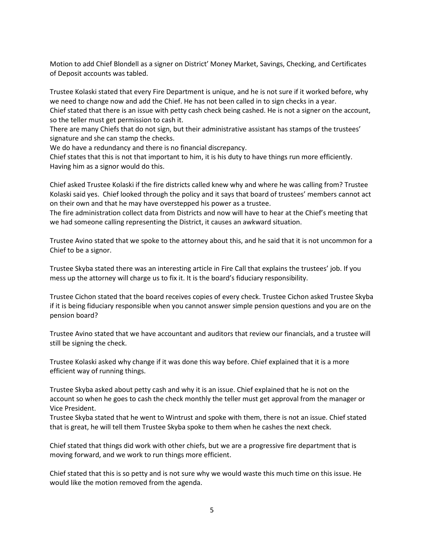Motion to add Chief Blondell as a signer on District' Money Market, Savings, Checking, and Certificates of Deposit accounts was tabled.

Trustee Kolaski stated that every Fire Department is unique, and he is not sure if it worked before, why we need to change now and add the Chief. He has not been called in to sign checks in a year. Chief stated that there is an issue with petty cash check being cashed. He is not a signer on the account, so the teller must get permission to cash it.

There are many Chiefs that do not sign, but their administrative assistant has stamps of the trustees' signature and she can stamp the checks.

We do have a redundancy and there is no financial discrepancy.

Chief states that this is not that important to him, it is his duty to have things run more efficiently. Having him as a signor would do this.

Chief asked Trustee Kolaski if the fire districts called knew why and where he was calling from? Trustee Kolaski said yes. Chief looked through the policy and it says that board of trustees' members cannot act on their own and that he may have overstepped his power as a trustee.

The fire administration collect data from Districts and now will have to hear at the Chief's meeting that we had someone calling representing the District, it causes an awkward situation.

Trustee Avino stated that we spoke to the attorney about this, and he said that it is not uncommon for a Chief to be a signor.

Trustee Skyba stated there was an interesting article in Fire Call that explains the trustees' job. If you mess up the attorney will charge us to fix it. It is the board's fiduciary responsibility.

Trustee Cichon stated that the board receives copies of every check. Trustee Cichon asked Trustee Skyba if it is being fiduciary responsible when you cannot answer simple pension questions and you are on the pension board?

Trustee Avino stated that we have accountant and auditors that review our financials, and a trustee will still be signing the check.

Trustee Kolaski asked why change if it was done this way before. Chief explained that it is a more efficient way of running things.

Trustee Skyba asked about petty cash and why it is an issue. Chief explained that he is not on the account so when he goes to cash the check monthly the teller must get approval from the manager or Vice President.

Trustee Skyba stated that he went to Wintrust and spoke with them, there is not an issue. Chief stated that is great, he will tell them Trustee Skyba spoke to them when he cashes the next check.

Chief stated that things did work with other chiefs, but we are a progressive fire department that is moving forward, and we work to run things more efficient.

Chief stated that this is so petty and is not sure why we would waste this much time on this issue. He would like the motion removed from the agenda.